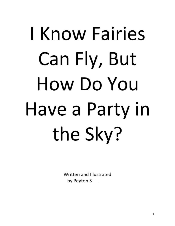## I Know Fairies Can Fly, But How Do You Have a Party in the Sky?

Written and Illustrated by Peyton S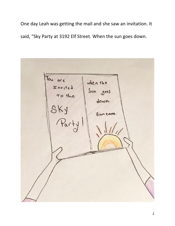One day Leah was getting the mail and she saw an invitation. It said, "Sky Party at 3192 Elf Street. When the sun goes down.

You are when the Invited<br>to the Sun goes down. SKY<br>Par from emma.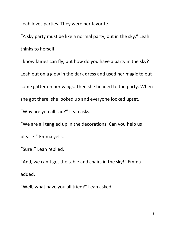Leah loves parties. They were her favorite.

"A sky party must be like a normal party, but in the sky," Leah thinks to herself.

I know fairies can fly, but how do you have a party in the sky? Leah put on a glow in the dark dress and used her magic to put some glitter on her wings. Then she headed to the party. When she got there, she looked up and everyone looked upset.

"Why are you all sad?" Leah asks.

"We are all tangled up in the decorations. Can you help us please!" Emma yells.

"Sure!" Leah replied.

"And, we can't get the table and chairs in the sky!" Emma added.

"Well, what have you all tried?" Leah asked.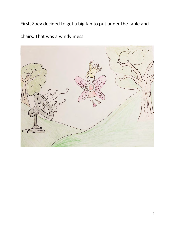First, Zoey decided to get a big fan to put under the table and chairs. That was a windy mess.

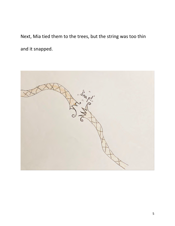Next, Mia tied them to the trees, but the string was too thin and it snapped.

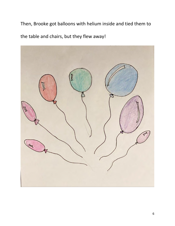Then, Brooke got balloons with helium inside and tied them to

the table and chairs, but they flew away!

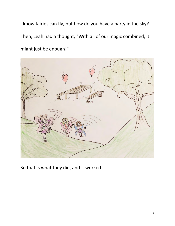I know fairies can fly, but how do you have a party in the sky? Then, Leah had a thought, "With all of our magic combined, it might just be enough!"



So that is what they did, and it worked!